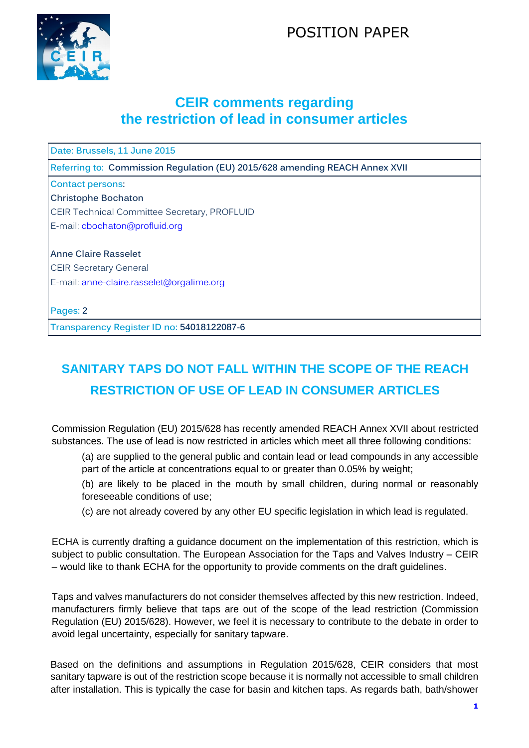## POSITION PAPER



## **CEIR comments regarding the restriction of lead in consumer articles**

**Date: Brussels, 11 June 2015**

**Referring to: Commission Regulation (EU) 2015/628 amending REACH Annex XVII**

**Contact persons:**

**Christophe Bochaton** CEIR Technical Committee Secretary, PROFLUID E-mail: [cbochaton@profluid.org](mailto:cbochaton@profluid.org)

**Anne Claire Rasselet** CEIR Secretary General E-mail: anne-claire.rasselet@orgalime.org

**Pages: 2**

**Transparency Register ID no: 54018122087-6**

## **SANITARY TAPS DO NOT FALL WITHIN THE SCOPE OF THE REACH RESTRICTION OF USE OF LEAD IN CONSUMER ARTICLES**

Commission Regulation (EU) 2015/628 has recently amended REACH Annex XVII about restricted substances. The use of lead is now restricted in articles which meet all three following conditions:

(a) are supplied to the general public and contain lead or lead compounds in any accessible part of the article at concentrations equal to or greater than 0.05% by weight;

(b) are likely to be placed in the mouth by small children, during normal or reasonably foreseeable conditions of use;

(c) are not already covered by any other EU specific legislation in which lead is regulated.

ECHA is currently drafting a guidance document on the implementation of this restriction, which is subject to public consultation. The European Association for the Taps and Valves Industry – CEIR – would like to thank ECHA for the opportunity to provide comments on the draft guidelines.

Taps and valves manufacturers do not consider themselves affected by this new restriction. Indeed, manufacturers firmly believe that taps are out of the scope of the lead restriction (Commission Regulation (EU) 2015/628). However, we feel it is necessary to contribute to the debate in order to avoid legal uncertainty, especially for sanitary tapware.

Based on the definitions and assumptions in Regulation 2015/628, CEIR considers that most sanitary tapware is out of the restriction scope because it is normally not accessible to small children after installation. This is typically the case for basin and kitchen taps. As regards bath, bath/shower